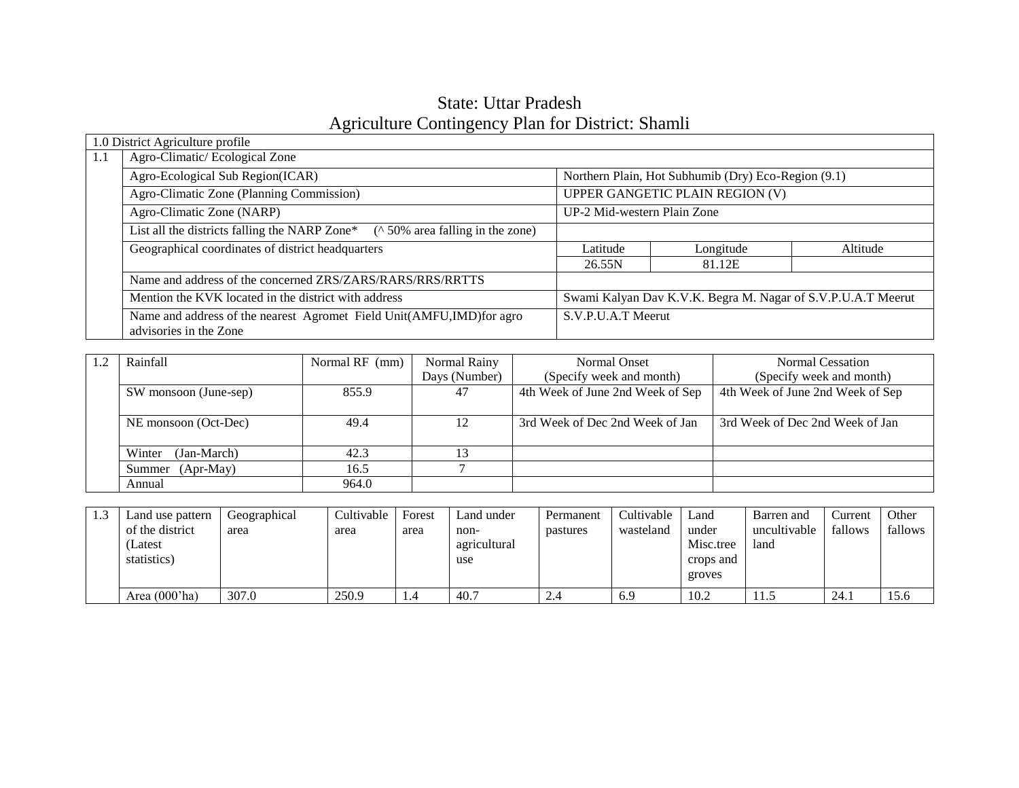### State: Uttar Pradesh Agriculture Contingency Plan for District: Shamli

|     | 1.0 District Agriculture profile                                                                 |                             |                                                              |          |  |  |
|-----|--------------------------------------------------------------------------------------------------|-----------------------------|--------------------------------------------------------------|----------|--|--|
| 1.1 | Agro-Climatic/Ecological Zone                                                                    |                             |                                                              |          |  |  |
|     | Agro-Ecological Sub Region(ICAR)<br>Northern Plain, Hot Subhumib (Dry) Eco-Region (9.1)          |                             |                                                              |          |  |  |
|     | Agro-Climatic Zone (Planning Commission)<br>UPPER GANGETIC PLAIN REGION (V)                      |                             |                                                              |          |  |  |
|     | Agro-Climatic Zone (NARP)                                                                        | UP-2 Mid-western Plain Zone |                                                              |          |  |  |
|     | List all the districts falling the NARP Zone*<br>( $\land$ 50% area falling in the zone)         |                             |                                                              |          |  |  |
|     | Geographical coordinates of district headquarters                                                | Latitude                    | Longitude                                                    | Altitude |  |  |
|     |                                                                                                  | 26.55N                      | 81.12E                                                       |          |  |  |
|     | Name and address of the concerned ZRS/ZARS/RARS/RRS/RRTTS                                        |                             |                                                              |          |  |  |
|     | Mention the KVK located in the district with address                                             |                             | Swami Kalyan Dav K.V.K. Begra M. Nagar of S.V.P.U.A.T Meerut |          |  |  |
|     | Name and address of the nearest Agromet Field Unit(AMFU, IMD) for agro<br>advisories in the Zone | S.V.P.U.A.T Meerut          |                                                              |          |  |  |

| Rainfall              | Normal RF (mm) | Normal Rainy  | Normal Onset                     | Normal Cessation                 |
|-----------------------|----------------|---------------|----------------------------------|----------------------------------|
|                       |                | Days (Number) | (Specify week and month)         | (Specify week and month)         |
| SW monsoon (June-sep) | 855.9          | 47            | 4th Week of June 2nd Week of Sep | 4th Week of June 2nd Week of Sep |
|                       |                |               |                                  |                                  |
| NE monsoon (Oct-Dec)  | 49.4           | 12            | 3rd Week of Dec 2nd Week of Jan  | 3rd Week of Dec 2nd Week of Jan  |
|                       |                |               |                                  |                                  |
| Winter<br>(Jan-March) | 42.3           |               |                                  |                                  |
| (Apr-May)<br>Summer   | 16.5           |               |                                  |                                  |
| Annual                | 964.0          |               |                                  |                                  |

| 1.3 | Land use pattern<br>of the district<br>(Latest<br>statistics) | Geographical<br>area | Cultivable<br>area | Forest<br>area | Land under<br>non-<br>agricultural<br>use | Permanent<br>pastures | Cultivable<br>wasteland | Land<br>under<br>Misc.tree<br>crops and<br>groves | Barren and<br>uncultivable<br>land | Current<br>fallows | Other<br>fallows |
|-----|---------------------------------------------------------------|----------------------|--------------------|----------------|-------------------------------------------|-----------------------|-------------------------|---------------------------------------------------|------------------------------------|--------------------|------------------|
|     | Area (000'ha)                                                 | 307.0                | 250.9              | 1.4            | 40.7                                      | 2.4                   | 6.9                     | 10.2                                              | 11.5                               | 24.1               | 15.6             |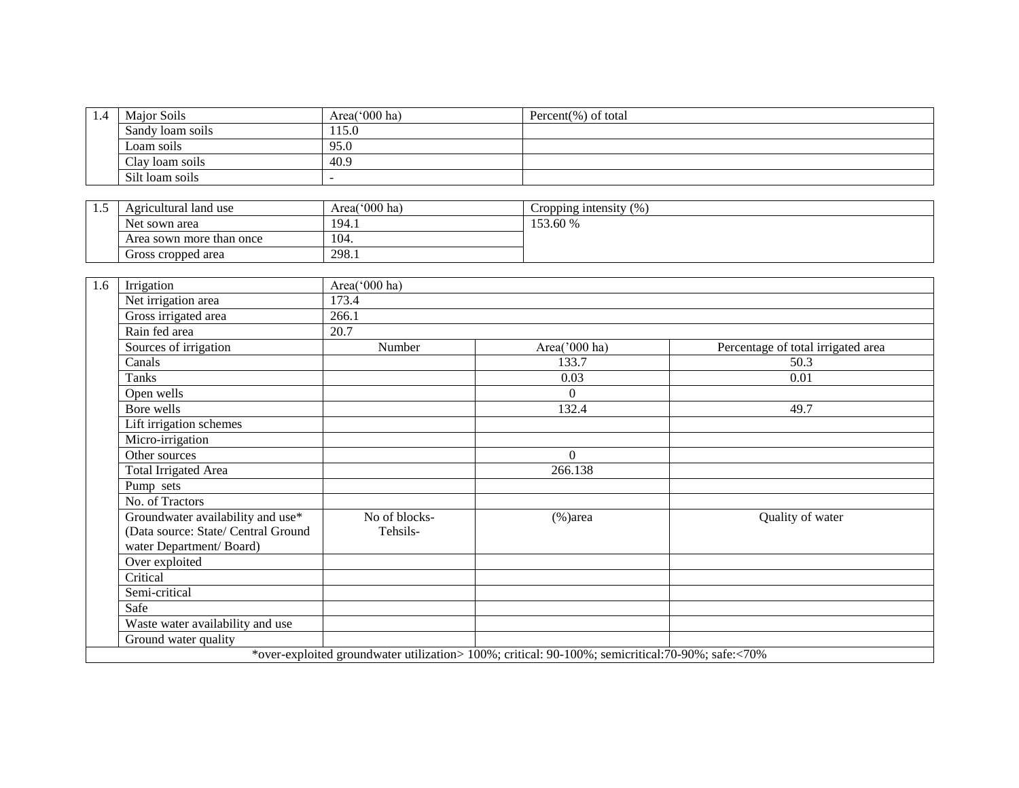| 1.4 | Major Soils      | Area('000 ha) | Percent $(\%)$ of total |
|-----|------------------|---------------|-------------------------|
|     | Sandy loam soils | 115.0         |                         |
|     | Loam soils       | 95.0          |                         |
|     | Clay loam soils  | 40.9          |                         |
|     | Silt loam soils  |               |                         |

| <br>Agricultural land use | Area( $000$ ha) | (0/2)<br>Cropping intensity<br>7V |
|---------------------------|-----------------|-----------------------------------|
| Net sown area             | 194.1           | 53.60 %                           |
| Area sown more than once  | 104.            |                                   |
| Gross cropped area        | 298.1           |                                   |

| 1.6 | Irrigation                                                                                          | Area('000 ha)             |                                                                                                   |                                    |
|-----|-----------------------------------------------------------------------------------------------------|---------------------------|---------------------------------------------------------------------------------------------------|------------------------------------|
|     | Net irrigation area                                                                                 | 173.4                     |                                                                                                   |                                    |
|     | Gross irrigated area                                                                                | 266.1                     |                                                                                                   |                                    |
|     | Rain fed area                                                                                       | 20.7                      |                                                                                                   |                                    |
|     | Sources of irrigation                                                                               | Number                    | Area('000 ha)                                                                                     | Percentage of total irrigated area |
|     | Canals                                                                                              |                           | 133.7                                                                                             | 50.3                               |
|     | Tanks                                                                                               |                           | 0.03                                                                                              | 0.01                               |
|     | Open wells                                                                                          |                           | $\Omega$                                                                                          |                                    |
|     | Bore wells                                                                                          |                           | 132.4                                                                                             | 49.7                               |
|     | Lift irrigation schemes                                                                             |                           |                                                                                                   |                                    |
|     | Micro-irrigation                                                                                    |                           |                                                                                                   |                                    |
|     | Other sources                                                                                       |                           | $\Omega$                                                                                          |                                    |
|     | <b>Total Irrigated Area</b>                                                                         |                           | 266.138                                                                                           |                                    |
|     | Pump sets                                                                                           |                           |                                                                                                   |                                    |
|     | No. of Tractors                                                                                     |                           |                                                                                                   |                                    |
|     | Groundwater availability and use*<br>(Data source: State/ Central Ground<br>water Department/Board) | No of blocks-<br>Tehsils- | $(\% )$ area                                                                                      | Quality of water                   |
|     | Over exploited                                                                                      |                           |                                                                                                   |                                    |
|     | Critical                                                                                            |                           |                                                                                                   |                                    |
|     | Semi-critical                                                                                       |                           |                                                                                                   |                                    |
|     | Safe                                                                                                |                           |                                                                                                   |                                    |
|     | Waste water availability and use                                                                    |                           |                                                                                                   |                                    |
|     | Ground water quality                                                                                |                           |                                                                                                   |                                    |
|     |                                                                                                     |                           | *over-exploited groundwater utilization> 100%; critical: 90-100%; semicritical: 70-90%; safe:<70% |                                    |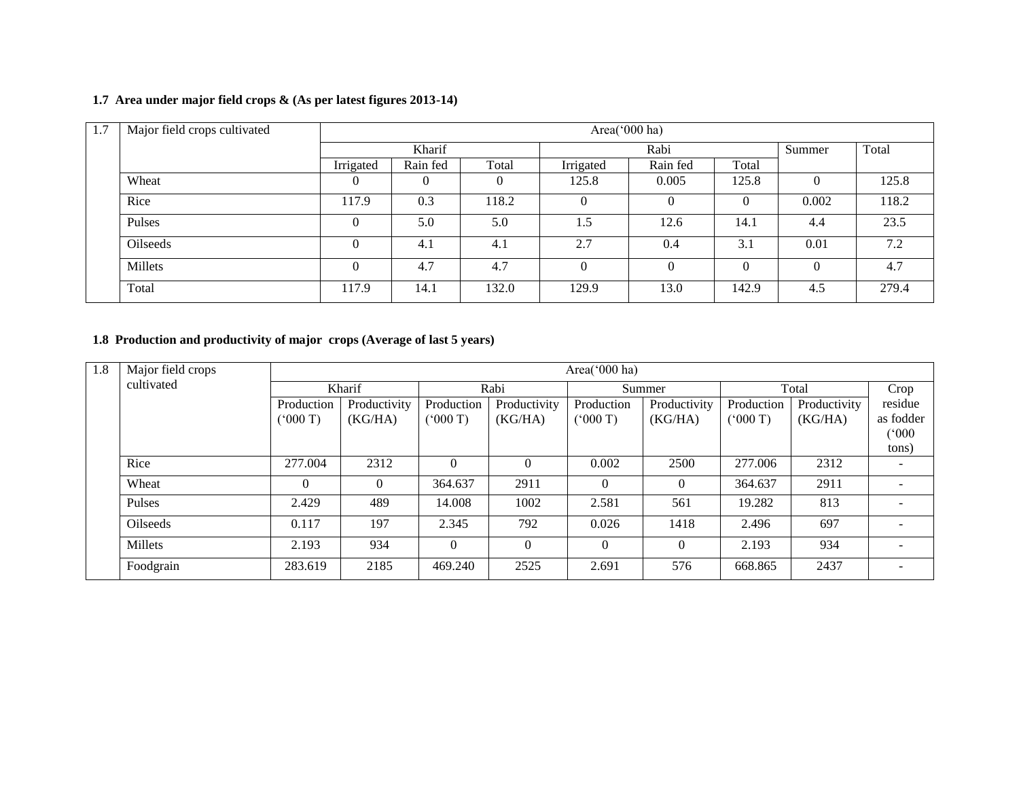#### **1.7 Area under major field crops & (As per latest figures 2013-14)**

| 1.7 | Major field crops cultivated | Area('000 ha) |          |       |           |          |          |          |       |
|-----|------------------------------|---------------|----------|-------|-----------|----------|----------|----------|-------|
|     |                              |               | Kharif   |       |           | Rabi     |          |          | Total |
|     |                              | Irrigated     | Rain fed | Total | Irrigated | Rain fed | Total    |          |       |
|     | Wheat                        |               |          | 0     | 125.8     | 0.005    | 125.8    |          | 125.8 |
|     | Rice                         | 117.9         | 0.3      | 118.2 | $\theta$  | $\theta$ | $\theta$ | 0.002    | 118.2 |
|     | Pulses                       |               | 5.0      | 5.0   | 1.5       | 12.6     | 14.1     | 4.4      | 23.5  |
|     | Oilseeds                     |               | 4.1      | 4.1   | 2.7       | 0.4      | 3.1      | 0.01     | 7.2   |
|     | Millets                      |               | 4.7      | 4.7   |           | $\theta$ | $\theta$ | $\Omega$ | 4.7   |
|     | Total                        | 117.9         | 14.1     | 132.0 | 129.9     | 13.0     | 142.9    | 4.5      | 279.4 |

### **1.8 Production and productivity of major crops (Average of last 5 years)**

| 1.8 | Major field crops |            |              |            |              | Area( $000$ ha) |              |            |              |           |  |  |  |  |
|-----|-------------------|------------|--------------|------------|--------------|-----------------|--------------|------------|--------------|-----------|--|--|--|--|
|     | cultivated        |            | Kharif       |            | Rabi         |                 | Summer       |            | Total        | Crop      |  |  |  |  |
|     |                   | Production | Productivity | Production | Productivity | Production      | Productivity | Production | Productivity | residue   |  |  |  |  |
|     |                   | (° 000'T)  | (KG/HA)      | (5000T)    | (KG/HA)      | (5000)          | (KG/HA)      | (000T)     | (KG/HA)      | as fodder |  |  |  |  |
|     |                   |            |              |            |              |                 |              |            |              | (000)     |  |  |  |  |
|     |                   |            |              |            |              |                 |              |            |              | tons)     |  |  |  |  |
|     | Rice              | 277.004    | 2312         | $\Omega$   | $\Omega$     | 0.002           | 2500         | 277.006    | 2312         |           |  |  |  |  |
|     | Wheat             | $\theta$   | $\Omega$     | 364.637    | 2911         | $\Omega$        | $\Omega$     | 364.637    | 2911         |           |  |  |  |  |
|     | Pulses            | 2.429      | 489          | 14.008     | 1002         | 2.581           | 561          | 19.282     | 813          |           |  |  |  |  |
|     | <b>Oilseeds</b>   | 0.117      | 197          | 2.345      | 792          | 0.026           | 1418         | 2.496      | 697          |           |  |  |  |  |
|     | Millets           | 2.193      | 934          | $\theta$   | 0            | $\Omega$        | $\Omega$     | 2.193      | 934          |           |  |  |  |  |
|     | Foodgrain         | 283.619    | 2185         | 469.240    | 2525         | 2.691           | 576          | 668.865    | 2437         |           |  |  |  |  |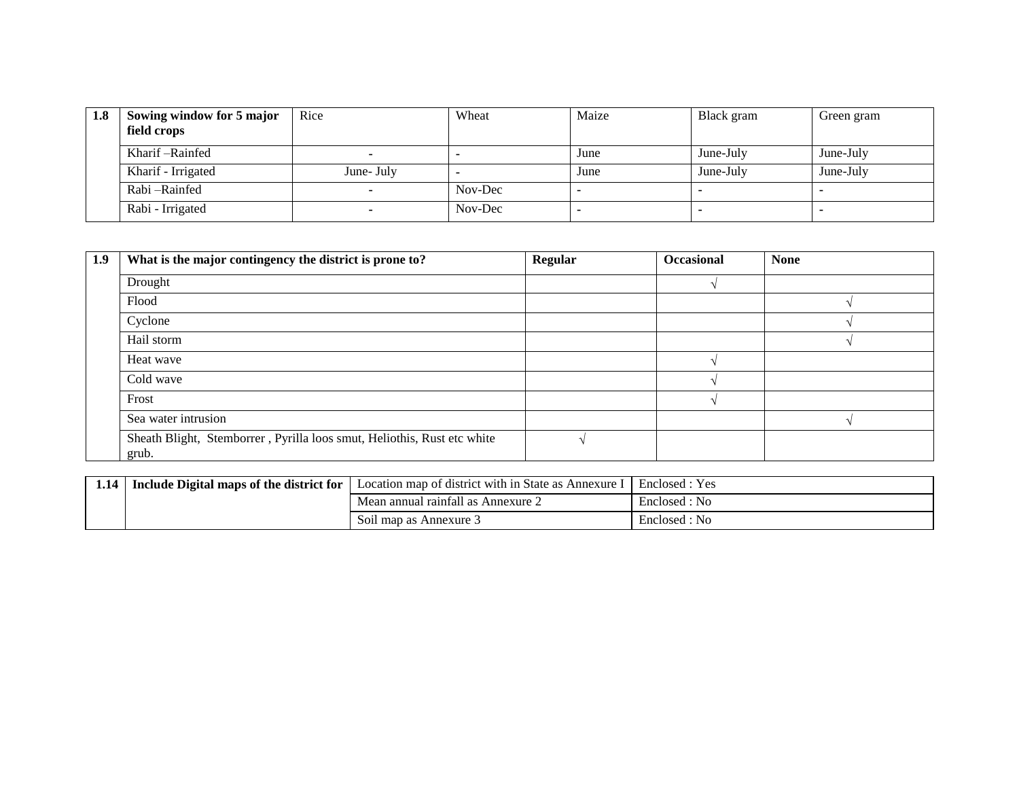| 1.8 | Sowing window for 5 major<br>field crops | Rice       | Wheat   | Maize | Black gram | Green gram |
|-----|------------------------------------------|------------|---------|-------|------------|------------|
|     | Kharif – Rainfed                         |            |         | June  | June-July  | June-July  |
|     | Kharif - Irrigated                       | June- July |         | June  | June-July  | June-July  |
|     | Rabi – Rainfed                           |            | Nov-Dec |       |            |            |
|     | Rabi - Irrigated                         |            | Nov-Dec |       |            |            |

| 1.9 | What is the major contingency the district is prone to?                          | Regular | Occasional | <b>None</b> |
|-----|----------------------------------------------------------------------------------|---------|------------|-------------|
|     | Drought                                                                          |         |            |             |
|     | Flood                                                                            |         |            |             |
|     | Cyclone                                                                          |         |            |             |
|     | Hail storm                                                                       |         |            |             |
|     | Heat wave                                                                        |         |            |             |
|     | Cold wave                                                                        |         |            |             |
|     | Frost                                                                            |         |            |             |
|     | Sea water intrusion                                                              |         |            |             |
|     | Sheath Blight, Stemborrer, Pyrilla loos smut, Heliothis, Rust etc white<br>grub. |         |            |             |

| 1.14 | Include Digital maps of the district for | Location map of district with in State as Annexure I | Enclosed : Yes |
|------|------------------------------------------|------------------------------------------------------|----------------|
|      |                                          | Mean annual rainfall as Annexure 2                   | Enclosed: No   |
|      |                                          | Soil map as Annexure 3                               | Enclosed : No  |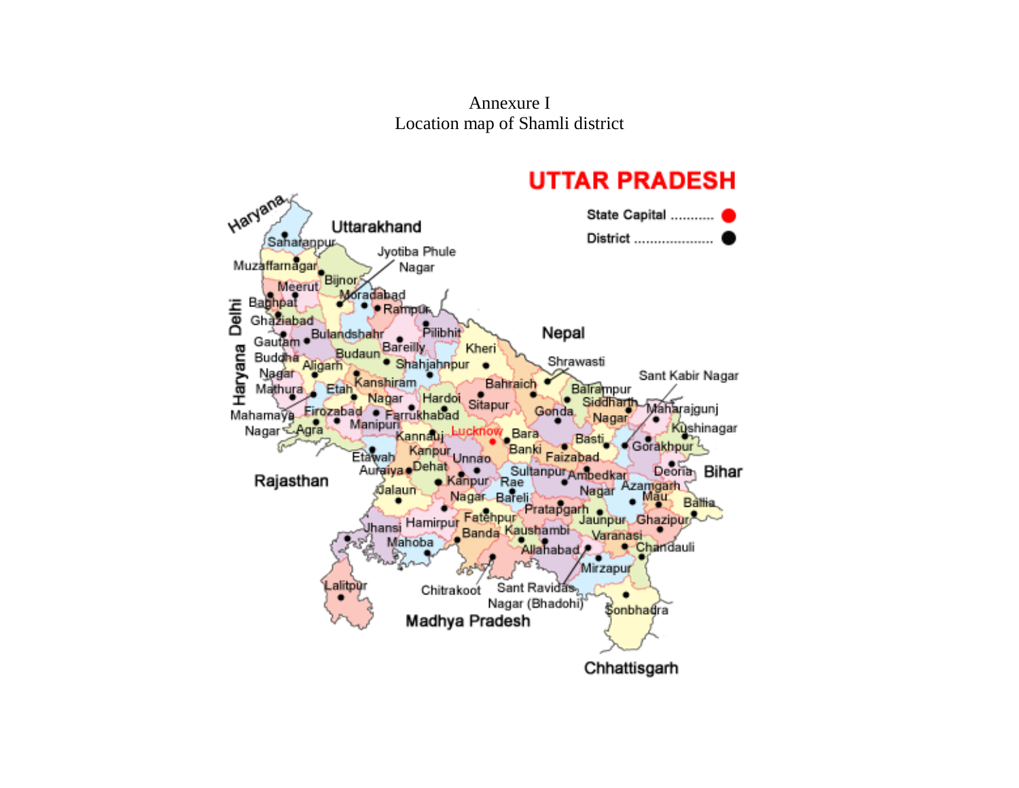Annexure I Location map of Shamli district

#### **UTTAR PRADESH** Haryana State Capital ........... Uttarakhand District .................... Saharanpur Jyotiba Phule Muzaffarnagar Nagar Bijnor Meerut Moradabad Delhi Baghpat · Rampur Ghaziabad Pilibhit Gautam . Bulandshahr Nepal Bareilly Haryana Kheri **Budaun Buddha** · Shahjahnpur Shrawasti Aligarh Nagar Sant Kabir Nagar Bahraich Kanshiram Balrampur Mathura Etah Mahamaya Firozabad . Parrukhabad ∜Hardoi Sitapur . Siddhart Maharajgunj Gonda. Nagar Nagar - Agra Manipuri Kushinagar cknow Bara Kannauj Basti Gorakhpur<sup>2</sup> Kanpur<br>Debat Unnao ۰ Ba ıkı Faizabad Etawah Auraiya Dehat Sultanpur Ambedkar Deoria<sub>n</sub> Bihar Rajasthan Kanpur Rae Azamgarh *เ*ปิลlaun Nagar Nagar Bareli lau. Battia. Pratapgarh Jaunpur Ghazipur Uhansi Hamirpur Fatehpur Banda Kaushambi-Varanasi Mahoba Allahabad  $\mathbb{R}$ Chandauli Mirzapur .alitpür Sant Ravidas, Chitrakoot Nagar (Bhadohi) Sonbhadra Madhya Pradesh Chhattisgarh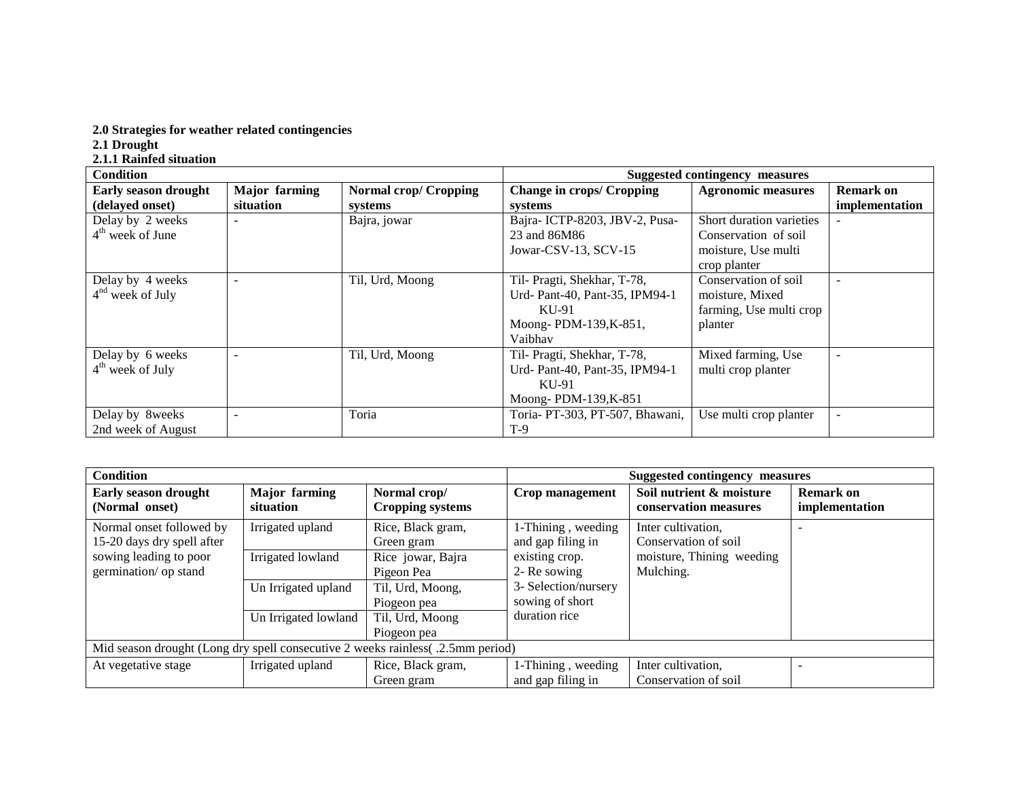#### **2.0 Strategies for weather related contingencies**

**2.1 Drought**

**2.1.1 Rainfed situation**

| <b>Condition</b>     |                      |                              |                                  | <b>Suggested contingency measures</b> |                          |
|----------------------|----------------------|------------------------------|----------------------------------|---------------------------------------|--------------------------|
| Early season drought | <b>Major</b> farming | <b>Normal crop/ Cropping</b> | <b>Change in crops/ Cropping</b> | <b>Agronomic measures</b>             | <b>Remark on</b>         |
| (delayed onset)      | situation            | systems                      | systems                          |                                       | implementation           |
| Delay by 2 weeks     |                      | Bajra, jowar                 | Bajra-ICTP-8203, JBV-2, Pusa-    | Short duration varieties              |                          |
| $4th$ week of June   |                      |                              | 23 and 86M86                     | Conservation of soil                  |                          |
|                      |                      |                              | Jowar-CSV-13, SCV-15             | moisture, Use multi                   |                          |
|                      |                      |                              |                                  | crop planter                          |                          |
| Delay by 4 weeks     |                      | Til, Urd, Moong              | Til- Pragti, Shekhar, T-78,      | Conservation of soil                  |                          |
| $4nd$ week of July   |                      |                              | Urd- Pant-40, Pant-35, IPM94-1   | moisture, Mixed                       |                          |
|                      |                      |                              | KU-91                            | farming, Use multi crop               |                          |
|                      |                      |                              | Moong-PDM-139, K-851,            | planter                               |                          |
|                      |                      |                              | Vaibhav                          |                                       |                          |
| Delay by 6 weeks     |                      | Til, Urd, Moong              | Til- Pragti, Shekhar, T-78,      | Mixed farming, Use                    | $\overline{\phantom{0}}$ |
| $4th$ week of July   |                      |                              | Urd- Pant-40, Pant-35, IPM94-1   | multi crop planter                    |                          |
|                      |                      |                              | KU-91                            |                                       |                          |
|                      |                      |                              | Moong-PDM-139, K-851             |                                       |                          |
| Delay by 8weeks      |                      | Toria                        | Toria- PT-303, PT-507, Bhawani,  | Use multi crop planter                |                          |
| 2nd week of August   |                      |                              | $T-9$                            |                                       |                          |

| <b>Condition</b>                                                                |                                   |                                         | Suggested contingency measures          |                                                   |                                    |
|---------------------------------------------------------------------------------|-----------------------------------|-----------------------------------------|-----------------------------------------|---------------------------------------------------|------------------------------------|
| <b>Early season drought</b><br>(Normal onset)                                   | <b>Major</b> farming<br>situation | Normal crop/<br><b>Cropping systems</b> | Crop management                         | Soil nutrient & moisture<br>conservation measures | <b>Remark on</b><br>implementation |
| Normal onset followed by<br>15-20 days dry spell after                          | Irrigated upland                  | Rice, Black gram,<br>Green gram         | 1-Thining, weeding<br>and gap filing in | Inter cultivation,<br>Conservation of soil        |                                    |
| sowing leading to poor<br>germination/ op stand                                 | Irrigated lowland                 | Rice jowar, Bajra<br>Pigeon Pea         | existing crop.<br>2- Re sowing          | moisture, Thining weeding<br>Mulching.            |                                    |
|                                                                                 | Un Irrigated upland               | Til, Urd, Moong,<br>Piogeon pea         | 3- Selection/nursery<br>sowing of short |                                                   |                                    |
|                                                                                 | Un Irrigated lowland              | Til, Urd, Moong<br>Piogeon pea          | duration rice                           |                                                   |                                    |
| Mid season drought (Long dry spell consecutive 2 weeks rainless( .2.5mm period) |                                   |                                         |                                         |                                                   |                                    |
| At vegetative stage                                                             | Irrigated upland                  | Rice, Black gram,<br>Green gram         | 1-Thining, weeding<br>and gap filing in | Inter cultivation,<br>Conservation of soil        |                                    |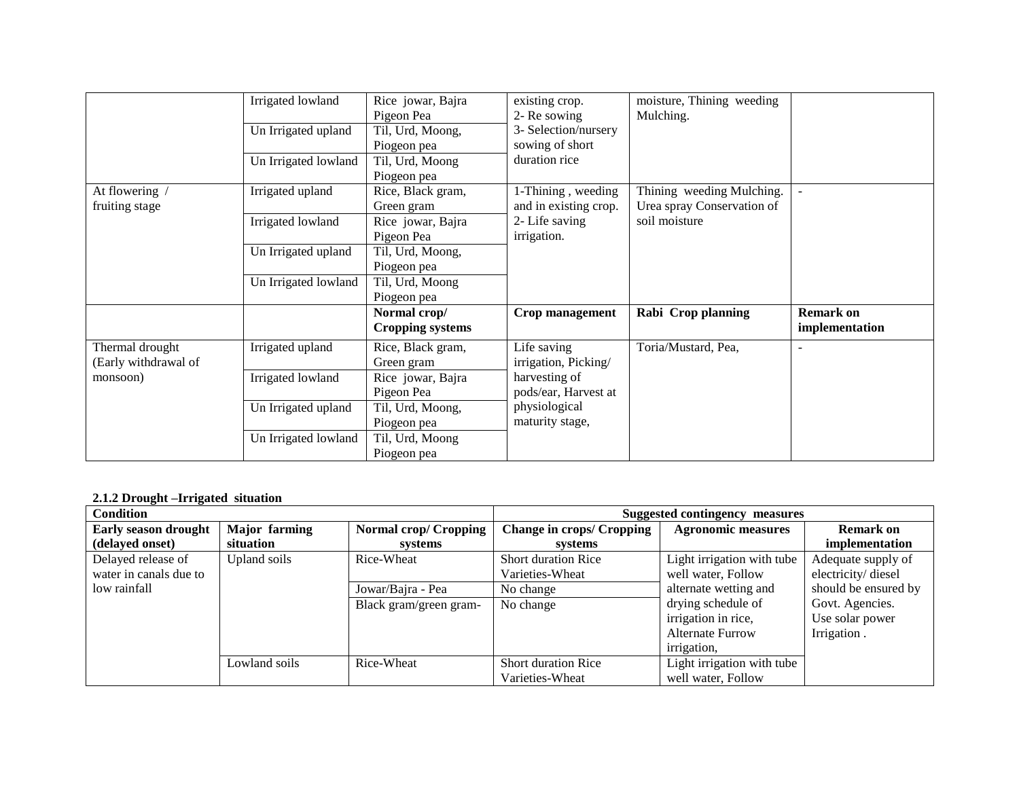|                                                     | Irrigated lowland<br>Un Irrigated upland<br>Un Irrigated lowland | Rice jowar, Bajra<br>Pigeon Pea<br>Til, Urd, Moong,<br>Piogeon pea<br>Til, Urd, Moong<br>Piogeon pea | existing crop.<br>2- Re sowing<br>3- Selection/nursery<br>sowing of short<br>duration rice | moisture, Thining weeding<br>Mulching.                                   |                                    |
|-----------------------------------------------------|------------------------------------------------------------------|------------------------------------------------------------------------------------------------------|--------------------------------------------------------------------------------------------|--------------------------------------------------------------------------|------------------------------------|
| At flowering /<br>fruiting stage                    | Irrigated upland<br>Irrigated lowland                            | Rice, Black gram,<br>Green gram<br>Rice jowar, Bajra<br>Pigeon Pea                                   | 1-Thining, weeding<br>and in existing crop.<br>2- Life saving<br>irrigation.               | Thining weeding Mulching.<br>Urea spray Conservation of<br>soil moisture | $\blacksquare$                     |
|                                                     | Un Irrigated upland<br>Un Irrigated lowland                      | Til, Urd, Moong,<br>Piogeon pea<br>Til, Urd, Moong<br>Piogeon pea                                    |                                                                                            |                                                                          |                                    |
|                                                     |                                                                  | Normal crop/<br><b>Cropping systems</b>                                                              | Crop management                                                                            | Rabi Crop planning                                                       | <b>Remark on</b><br>implementation |
| Thermal drought<br>(Early withdrawal of<br>monsoon) | Irrigated upland<br>Irrigated lowland                            | Rice, Black gram,<br>Green gram<br>Rice jowar, Bajra                                                 | Life saving<br>irrigation, Picking/<br>harvesting of                                       | Toria/Mustard, Pea,                                                      |                                    |
|                                                     | Un Irrigated upland                                              | Pigeon Pea<br>Til, Urd, Moong,<br>Piogeon pea                                                        | pods/ear, Harvest at<br>physiological<br>maturity stage,                                   |                                                                          |                                    |
|                                                     | Un Irrigated lowland                                             | Til, Urd, Moong<br>Piogeon pea                                                                       |                                                                                            |                                                                          |                                    |

### **2.1.2 Drought –Irrigated situation**

| <b>Condition</b>            |               |                              |                                  | Suggested contingency measures |                      |  |
|-----------------------------|---------------|------------------------------|----------------------------------|--------------------------------|----------------------|--|
| <b>Early season drought</b> | Major farming | <b>Normal crop/ Cropping</b> | <b>Change in crops/ Cropping</b> | <b>Agronomic measures</b>      | Remark on            |  |
| (delayed onset)             | situation     | systems                      | systems                          |                                | implementation       |  |
| Delayed release of          | Upland soils  | Rice-Wheat                   | <b>Short duration Rice</b>       | Light irrigation with tube     | Adequate supply of   |  |
| water in canals due to      |               |                              | Varieties-Wheat                  | well water, Follow             | electricity/diesel   |  |
| low rainfall                |               | Jowar/Bajra - Pea            | No change                        | alternate wetting and          | should be ensured by |  |
|                             |               | Black gram/green gram-       | No change                        | drying schedule of             | Govt. Agencies.      |  |
|                             |               |                              |                                  | irrigation in rice,            | Use solar power      |  |
|                             |               |                              |                                  | <b>Alternate Furrow</b>        | Irrigation.          |  |
|                             |               |                              |                                  | irrigation,                    |                      |  |
|                             | Lowland soils | Rice-Wheat                   | <b>Short duration Rice</b>       | Light irrigation with tube     |                      |  |
|                             |               |                              | Varieties-Wheat                  | well water, Follow             |                      |  |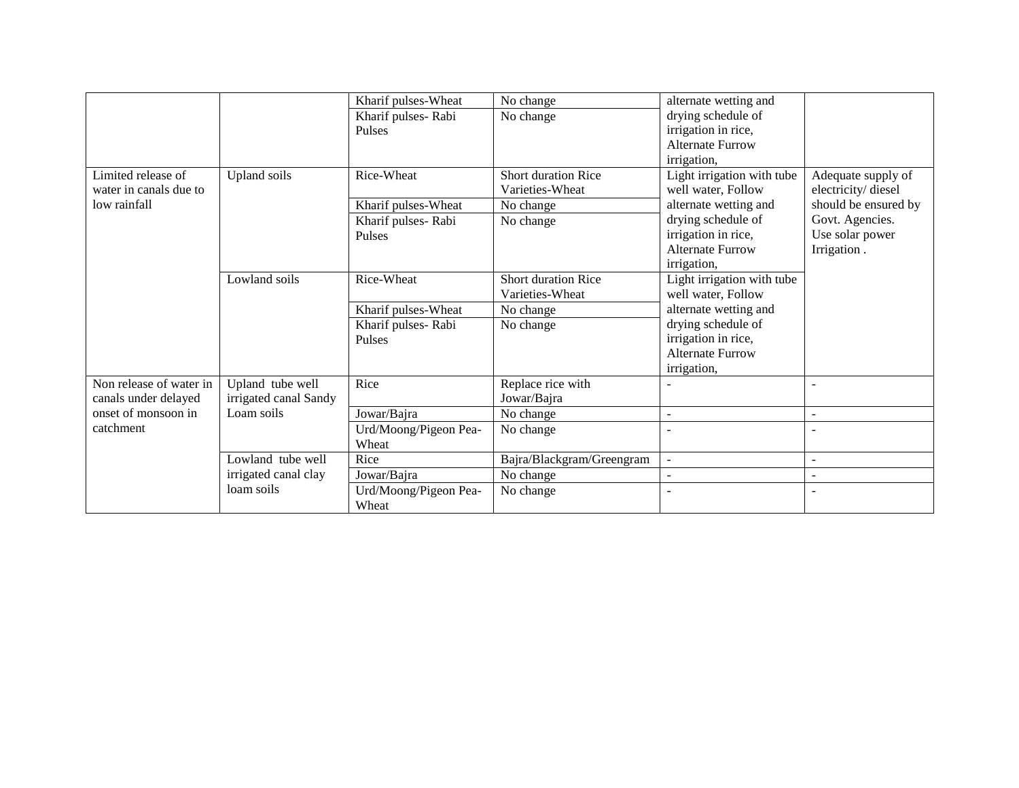|                         |                       | Kharif pulses-Wheat   | No change                  | alternate wetting and      |                      |
|-------------------------|-----------------------|-----------------------|----------------------------|----------------------------|----------------------|
|                         |                       | Kharif pulses-Rabi    | No change                  | drying schedule of         |                      |
|                         |                       | Pulses                |                            | irrigation in rice,        |                      |
|                         |                       |                       |                            | <b>Alternate Furrow</b>    |                      |
|                         |                       |                       |                            | irrigation,                |                      |
| Limited release of      | Upland soils          | Rice-Wheat            | <b>Short duration Rice</b> | Light irrigation with tube | Adequate supply of   |
| water in canals due to  |                       |                       | Varieties-Wheat            | well water, Follow         | electricity/diesel   |
| low rainfall            |                       | Kharif pulses-Wheat   | No change                  | alternate wetting and      | should be ensured by |
|                         |                       | Kharif pulses-Rabi    | No change                  | drying schedule of         | Govt. Agencies.      |
|                         |                       | Pulses                |                            | irrigation in rice,        | Use solar power      |
|                         |                       |                       |                            | <b>Alternate Furrow</b>    | Irrigation.          |
|                         |                       |                       |                            | irrigation,                |                      |
|                         | Lowland soils         | Rice-Wheat            | <b>Short duration Rice</b> | Light irrigation with tube |                      |
|                         |                       |                       | Varieties-Wheat            | well water, Follow         |                      |
|                         |                       | Kharif pulses-Wheat   | No change                  | alternate wetting and      |                      |
|                         |                       | Kharif pulses-Rabi    | No change                  | drying schedule of         |                      |
|                         |                       | Pulses                |                            | irrigation in rice,        |                      |
|                         |                       |                       |                            | <b>Alternate Furrow</b>    |                      |
|                         |                       |                       |                            | irrigation,                |                      |
| Non release of water in | Upland tube well      | Rice                  | Replace rice with          |                            |                      |
| canals under delayed    | irrigated canal Sandy |                       | Jowar/Bajra                |                            |                      |
| onset of monsoon in     | Loam soils            | Jowar/Bajra           | No change                  | ٠                          | $\sim$               |
| catchment               |                       | Urd/Moong/Pigeon Pea- | No change                  |                            |                      |
|                         |                       | Wheat                 |                            |                            |                      |
|                         | Lowland tube well     | Rice                  | Bajra/Blackgram/Greengram  | $\blacksquare$             | $\sim$               |
|                         | irrigated canal clay  | Jowar/Bajra           | No change                  |                            |                      |
|                         | loam soils            | Urd/Moong/Pigeon Pea- | No change                  |                            |                      |
|                         |                       | Wheat                 |                            |                            |                      |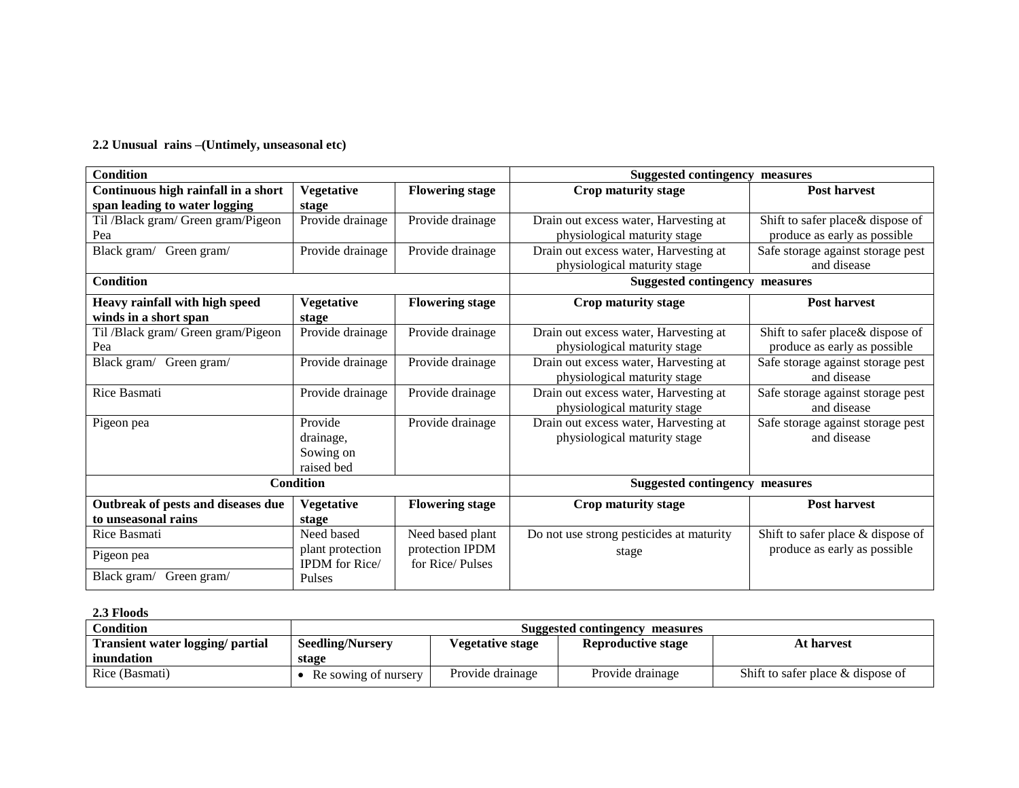#### **2.2 Unusual rains –(Untimely, unseasonal etc)**

| <b>Condition</b>                    |                       |                        | <b>Suggested contingency measures</b>    |                                   |  |
|-------------------------------------|-----------------------|------------------------|------------------------------------------|-----------------------------------|--|
| Continuous high rainfall in a short | <b>Vegetative</b>     | <b>Flowering stage</b> | Crop maturity stage                      | <b>Post harvest</b>               |  |
| span leading to water logging       | stage                 |                        |                                          |                                   |  |
| Til /Black gram/ Green gram/Pigeon  | Provide drainage      | Provide drainage       | Drain out excess water, Harvesting at    | Shift to safer place & dispose of |  |
| Pea                                 |                       |                        | physiological maturity stage             | produce as early as possible      |  |
| Black gram/ Green gram/             | Provide drainage      | Provide drainage       | Drain out excess water, Harvesting at    | Safe storage against storage pest |  |
|                                     |                       |                        | physiological maturity stage             | and disease                       |  |
| <b>Condition</b>                    |                       |                        | <b>Suggested contingency</b>             | measures                          |  |
| Heavy rainfall with high speed      | <b>Vegetative</b>     | <b>Flowering stage</b> | Crop maturity stage                      | <b>Post harvest</b>               |  |
| winds in a short span               | stage                 |                        |                                          |                                   |  |
| Til /Black gram/ Green gram/Pigeon  | Provide drainage      | Provide drainage       | Drain out excess water, Harvesting at    | Shift to safer place & dispose of |  |
| Pea                                 |                       |                        | physiological maturity stage             | produce as early as possible      |  |
| Black gram/ Green gram/             | Provide drainage      | Provide drainage       | Drain out excess water, Harvesting at    | Safe storage against storage pest |  |
|                                     |                       |                        | physiological maturity stage             | and disease                       |  |
| Rice Basmati                        | Provide drainage      | Provide drainage       | Drain out excess water, Harvesting at    | Safe storage against storage pest |  |
|                                     |                       |                        | physiological maturity stage             | and disease                       |  |
| Pigeon pea                          | Provide               | Provide drainage       | Drain out excess water, Harvesting at    | Safe storage against storage pest |  |
|                                     | drainage,             |                        | physiological maturity stage             | and disease                       |  |
|                                     | Sowing on             |                        |                                          |                                   |  |
|                                     | raised bed            |                        |                                          |                                   |  |
|                                     | <b>Condition</b>      |                        | <b>Suggested contingency measures</b>    |                                   |  |
| Outbreak of pests and diseases due  | <b>Vegetative</b>     | <b>Flowering stage</b> | Crop maturity stage                      | <b>Post harvest</b>               |  |
| to unseasonal rains                 | stage                 |                        |                                          |                                   |  |
| Rice Basmati                        | Need based            | Need based plant       | Do not use strong pesticides at maturity | Shift to safer place & dispose of |  |
| Pigeon pea                          | plant protection      | protection IPDM        | stage                                    | produce as early as possible      |  |
|                                     | <b>IPDM</b> for Rice/ | for Rice/Pulses        |                                          |                                   |  |
| Black gram/ Green gram/             | Pulses                |                        |                                          |                                   |  |

#### **2.3 Floods**

| Condition                        | Suggested contingency measures |                                                      |                  |                                      |  |
|----------------------------------|--------------------------------|------------------------------------------------------|------------------|--------------------------------------|--|
| Transient water logging/ partial | <b>Seedling/Nursery</b>        | <b>Vegetative stage</b><br><b>Reproductive stage</b> |                  |                                      |  |
| inundation                       | stage                          |                                                      |                  |                                      |  |
| Rice (Basmati)                   | Re sowing of nursery           | Provide drainage                                     | Provide drainage | Shift to safer place $\&$ dispose of |  |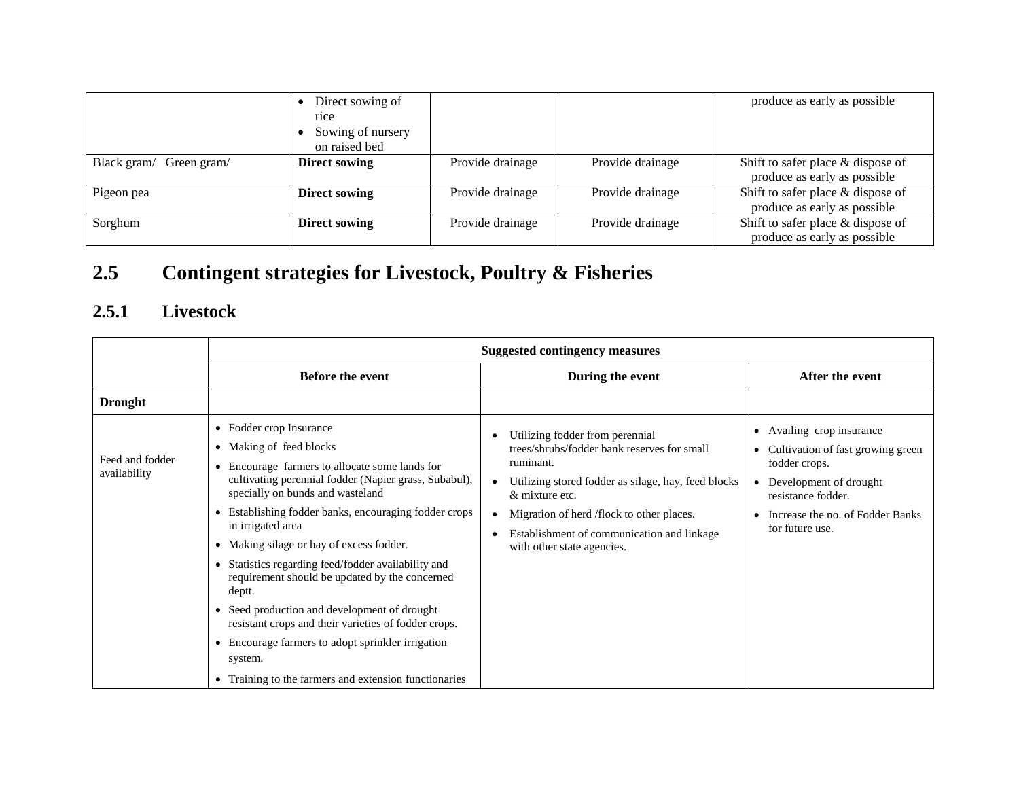|                            | Direct sowing of<br>rice<br>Sowing of nursery<br>on raised bed |                  |                  | produce as early as possible                                      |
|----------------------------|----------------------------------------------------------------|------------------|------------------|-------------------------------------------------------------------|
| Black gram/<br>Green gram/ | <b>Direct sowing</b>                                           | Provide drainage | Provide drainage | Shift to safer place & dispose of<br>produce as early as possible |
| Pigeon pea                 | <b>Direct sowing</b>                                           | Provide drainage | Provide drainage | Shift to safer place & dispose of<br>produce as early as possible |
| Sorghum                    | <b>Direct sowing</b>                                           | Provide drainage | Provide drainage | Shift to safer place & dispose of<br>produce as early as possible |

# **2.5 Contingent strategies for Livestock, Poultry & Fisheries**

### **2.5.1 Livestock**

|                                 | <b>Suggested contingency measures</b>                                                                                                                                                                                                                                                                                                                                                                                                                                                                                                                                                                                                                                                  |                                                                                                                                                                                                                                                                                               |                                                                                                                                                                                                                  |  |  |
|---------------------------------|----------------------------------------------------------------------------------------------------------------------------------------------------------------------------------------------------------------------------------------------------------------------------------------------------------------------------------------------------------------------------------------------------------------------------------------------------------------------------------------------------------------------------------------------------------------------------------------------------------------------------------------------------------------------------------------|-----------------------------------------------------------------------------------------------------------------------------------------------------------------------------------------------------------------------------------------------------------------------------------------------|------------------------------------------------------------------------------------------------------------------------------------------------------------------------------------------------------------------|--|--|
|                                 | <b>Before the event</b>                                                                                                                                                                                                                                                                                                                                                                                                                                                                                                                                                                                                                                                                | During the event                                                                                                                                                                                                                                                                              | After the event                                                                                                                                                                                                  |  |  |
| <b>Drought</b>                  |                                                                                                                                                                                                                                                                                                                                                                                                                                                                                                                                                                                                                                                                                        |                                                                                                                                                                                                                                                                                               |                                                                                                                                                                                                                  |  |  |
| Feed and fodder<br>availability | • Fodder crop Insurance<br>• Making of feed blocks<br>Encourage farmers to allocate some lands for<br>$\bullet$<br>cultivating perennial fodder (Napier grass, Subabul),<br>specially on bunds and wasteland<br>Establishing fodder banks, encouraging fodder crops<br>in irrigated area<br>• Making silage or hay of excess fodder.<br>Statistics regarding feed/fodder availability and<br>requirement should be updated by the concerned<br>deptt.<br>• Seed production and development of drought<br>resistant crops and their varieties of fodder crops.<br>• Encourage farmers to adopt sprinkler irrigation<br>system.<br>• Training to the farmers and extension functionaries | Utilizing fodder from perennial<br>trees/shrubs/fodder bank reserves for small<br>ruminant.<br>Utilizing stored fodder as silage, hay, feed blocks<br>& mixture etc.<br>Migration of herd /flock to other places.<br>Establishment of communication and linkage<br>with other state agencies. | Availing crop insurance<br>٠<br>Cultivation of fast growing green<br>٠<br>fodder crops.<br>Development of drought<br>$\bullet$<br>resistance fodder.<br>Increase the no. of Fodder Banks<br>٠<br>for future use. |  |  |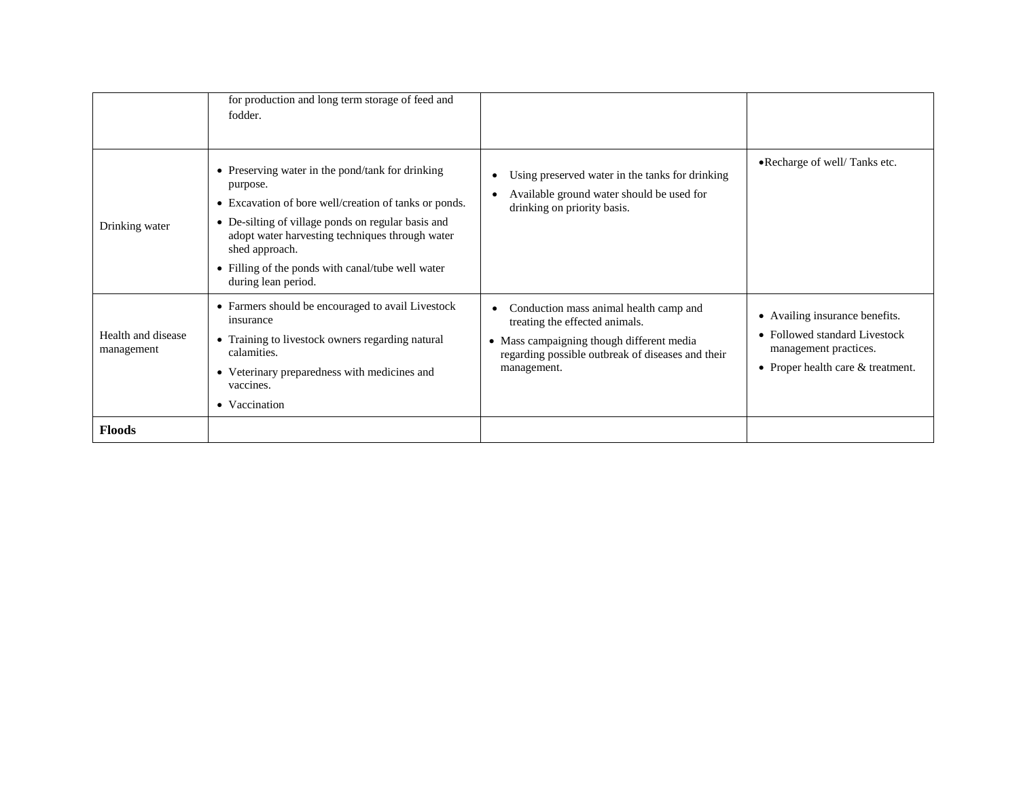| Drinking water                   | for production and long term storage of feed and<br>fodder.<br>• Preserving water in the pond/tank for drinking<br>purpose.<br>• Excavation of bore well/creation of tanks or ponds.<br>• De-silting of village ponds on regular basis and<br>adopt water harvesting techniques through water<br>shed approach.<br>• Filling of the ponds with canal/tube well water<br>during lean period. | Using preserved water in the tanks for drinking<br>Available ground water should be used for<br>drinking on priority basis.                                                               | •Recharge of well/Tanks etc.                                                                                                  |
|----------------------------------|---------------------------------------------------------------------------------------------------------------------------------------------------------------------------------------------------------------------------------------------------------------------------------------------------------------------------------------------------------------------------------------------|-------------------------------------------------------------------------------------------------------------------------------------------------------------------------------------------|-------------------------------------------------------------------------------------------------------------------------------|
| Health and disease<br>management | • Farmers should be encouraged to avail Livestock<br>insurance<br>• Training to livestock owners regarding natural<br>calamities.<br>• Veterinary preparedness with medicines and<br>vaccines.<br>• Vaccination                                                                                                                                                                             | Conduction mass animal health camp and<br>treating the effected animals.<br>• Mass campaigning though different media<br>regarding possible outbreak of diseases and their<br>management. | Availing insurance benefits.<br>• Followed standard Livestock<br>management practices.<br>• Proper health care $&$ treatment. |
| <b>Floods</b>                    |                                                                                                                                                                                                                                                                                                                                                                                             |                                                                                                                                                                                           |                                                                                                                               |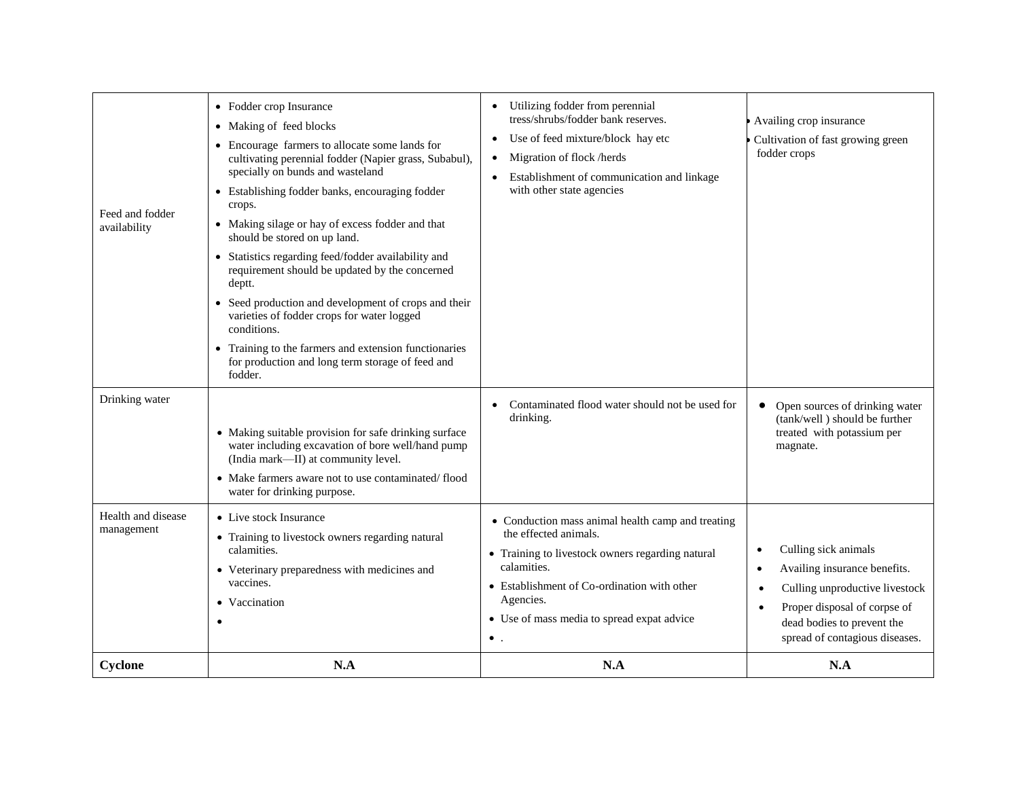| Feed and fodder<br>availability<br>Drinking water | • Fodder crop Insurance<br>• Making of feed blocks<br>• Encourage farmers to allocate some lands for<br>cultivating perennial fodder (Napier grass, Subabul),<br>specially on bunds and wasteland<br>• Establishing fodder banks, encouraging fodder<br>crops.<br>• Making silage or hay of excess fodder and that<br>should be stored on up land.<br>• Statistics regarding feed/fodder availability and<br>requirement should be updated by the concerned<br>deptt.<br>• Seed production and development of crops and their<br>varieties of fodder crops for water logged<br>conditions.<br>• Training to the farmers and extension functionaries<br>for production and long term storage of feed and<br>fodder. | Utilizing fodder from perennial<br>tress/shrubs/fodder bank reserves.<br>Use of feed mixture/block hay etc<br>$\bullet$<br>Migration of flock /herds<br>$\bullet$<br>Establishment of communication and linkage<br>with other state agencies<br>Contaminated flood water should not be used for | Availing crop insurance<br>Cultivation of fast growing green<br>fodder crops<br>Open sources of drinking water<br>$\bullet$                                                                                           |
|---------------------------------------------------|--------------------------------------------------------------------------------------------------------------------------------------------------------------------------------------------------------------------------------------------------------------------------------------------------------------------------------------------------------------------------------------------------------------------------------------------------------------------------------------------------------------------------------------------------------------------------------------------------------------------------------------------------------------------------------------------------------------------|-------------------------------------------------------------------------------------------------------------------------------------------------------------------------------------------------------------------------------------------------------------------------------------------------|-----------------------------------------------------------------------------------------------------------------------------------------------------------------------------------------------------------------------|
|                                                   | • Making suitable provision for safe drinking surface<br>water including excavation of bore well/hand pump<br>(India mark-II) at community level.<br>• Make farmers aware not to use contaminated/flood<br>water for drinking purpose.                                                                                                                                                                                                                                                                                                                                                                                                                                                                             | drinking.                                                                                                                                                                                                                                                                                       | (tank/well) should be further<br>treated with potassium per<br>magnate.                                                                                                                                               |
| Health and disease<br>management                  | • Live stock Insurance<br>• Training to livestock owners regarding natural<br>calamities.<br>• Veterinary preparedness with medicines and<br>vaccines.<br>• Vaccination<br>$\bullet$                                                                                                                                                                                                                                                                                                                                                                                                                                                                                                                               | • Conduction mass animal health camp and treating<br>the effected animals.<br>• Training to livestock owners regarding natural<br>calamities.<br>• Establishment of Co-ordination with other<br>Agencies.<br>• Use of mass media to spread expat advice<br>$\bullet$ .                          | Culling sick animals<br>٠<br>Availing insurance benefits.<br>$\bullet$<br>Culling unproductive livestock<br>$\bullet$<br>Proper disposal of corpse of<br>dead bodies to prevent the<br>spread of contagious diseases. |
| Cyclone                                           | N.A                                                                                                                                                                                                                                                                                                                                                                                                                                                                                                                                                                                                                                                                                                                | N.A                                                                                                                                                                                                                                                                                             | N.A                                                                                                                                                                                                                   |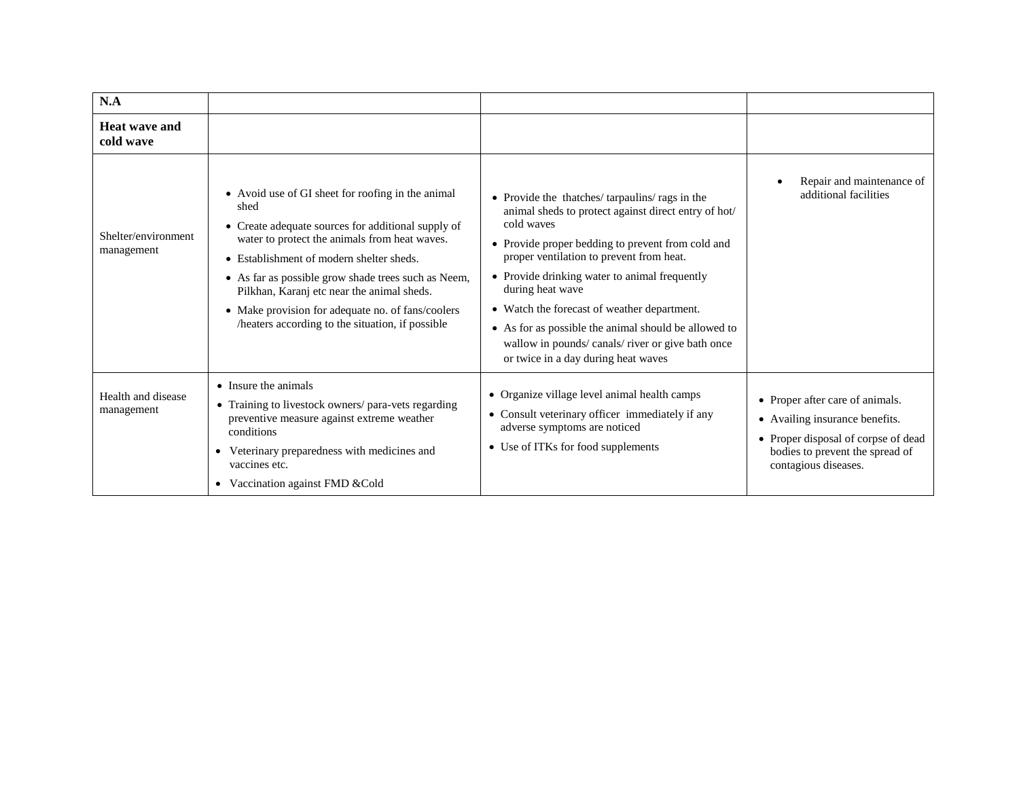| N.A                               |                                                                                                                                                                                                                                                                                                                                                                                                                            |                                                                                                                                                                                                                                                                                                                                                                                                                                                                                            |                                                                                                                                                                                |
|-----------------------------------|----------------------------------------------------------------------------------------------------------------------------------------------------------------------------------------------------------------------------------------------------------------------------------------------------------------------------------------------------------------------------------------------------------------------------|--------------------------------------------------------------------------------------------------------------------------------------------------------------------------------------------------------------------------------------------------------------------------------------------------------------------------------------------------------------------------------------------------------------------------------------------------------------------------------------------|--------------------------------------------------------------------------------------------------------------------------------------------------------------------------------|
| Heat wave and<br>cold wave        |                                                                                                                                                                                                                                                                                                                                                                                                                            |                                                                                                                                                                                                                                                                                                                                                                                                                                                                                            |                                                                                                                                                                                |
| Shelter/environment<br>management | • Avoid use of GI sheet for roofing in the animal<br>shed<br>• Create adequate sources for additional supply of<br>water to protect the animals from heat waves.<br>• Establishment of modern shelter sheds.<br>• As far as possible grow shade trees such as Neem,<br>Pilkhan, Karanj etc near the animal sheds.<br>• Make provision for adequate no. of fans/coolers<br>/heaters according to the situation, if possible | • Provide the thatches/tarpaulins/rags in the<br>animal sheds to protect against direct entry of hot/<br>cold waves<br>• Provide proper bedding to prevent from cold and<br>proper ventilation to prevent from heat.<br>• Provide drinking water to animal frequently<br>during heat wave<br>• Watch the forecast of weather department.<br>• As for as possible the animal should be allowed to<br>wallow in pounds/canals/river or give bath once<br>or twice in a day during heat waves | Repair and maintenance of<br>additional facilities                                                                                                                             |
| Health and disease<br>management  | • Insure the animals<br>• Training to livestock owners/ para-vets regarding<br>preventive measure against extreme weather<br>conditions<br>• Veterinary preparedness with medicines and<br>vaccines etc.<br>• Vaccination against FMD & Cold                                                                                                                                                                               | • Organize village level animal health camps<br>• Consult veterinary officer immediately if any<br>adverse symptoms are noticed<br>• Use of ITKs for food supplements                                                                                                                                                                                                                                                                                                                      | • Proper after care of animals.<br>Availing insurance benefits.<br>$\bullet$<br>• Proper disposal of corpse of dead<br>bodies to prevent the spread of<br>contagious diseases. |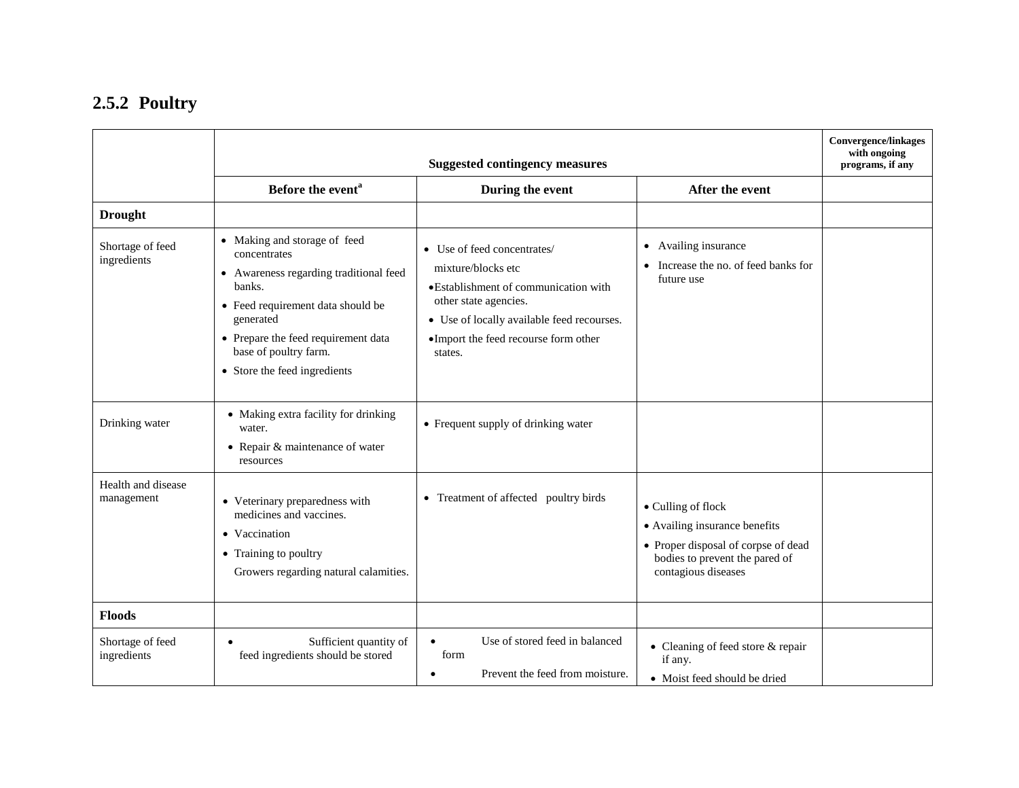### **2.5.2 Poultry**

|                                  |                                                                                                                                                                                                                                                             | <b>Suggested contingency measures</b>                                                                                                                                                                                |                                                                                                                                                     | <b>Convergence/linkages</b><br>with ongoing<br>programs, if any |
|----------------------------------|-------------------------------------------------------------------------------------------------------------------------------------------------------------------------------------------------------------------------------------------------------------|----------------------------------------------------------------------------------------------------------------------------------------------------------------------------------------------------------------------|-----------------------------------------------------------------------------------------------------------------------------------------------------|-----------------------------------------------------------------|
|                                  | Before the event <sup>a</sup>                                                                                                                                                                                                                               | During the event                                                                                                                                                                                                     | After the event                                                                                                                                     |                                                                 |
| <b>Drought</b>                   |                                                                                                                                                                                                                                                             |                                                                                                                                                                                                                      |                                                                                                                                                     |                                                                 |
| Shortage of feed<br>ingredients  | • Making and storage of feed<br>concentrates<br>• Awareness regarding traditional feed<br>banks.<br>$\bullet~$ Feed requirement data should be<br>generated<br>• Prepare the feed requirement data<br>base of poultry farm.<br>• Store the feed ingredients | • Use of feed concentrates/<br>mixture/blocks etc<br>• Establishment of communication with<br>other state agencies.<br>• Use of locally available feed recourses.<br>·Import the feed recourse form other<br>states. | Availing insurance<br>$\bullet$<br>Increase the no. of feed banks for<br>future use                                                                 |                                                                 |
| Drinking water                   | • Making extra facility for drinking<br>water.<br>$\bullet$ Repair & maintenance of water<br>resources                                                                                                                                                      | • Frequent supply of drinking water                                                                                                                                                                                  |                                                                                                                                                     |                                                                 |
| Health and disease<br>management | • Veterinary preparedness with<br>medicines and vaccines.<br>• Vaccination<br>• Training to poultry<br>Growers regarding natural calamities.                                                                                                                | • Treatment of affected poultry birds                                                                                                                                                                                | • Culling of flock<br>• Availing insurance benefits<br>• Proper disposal of corpse of dead<br>bodies to prevent the pared of<br>contagious diseases |                                                                 |
| <b>Floods</b>                    |                                                                                                                                                                                                                                                             |                                                                                                                                                                                                                      |                                                                                                                                                     |                                                                 |
| Shortage of feed<br>ingredients  | Sufficient quantity of<br>$\bullet$<br>feed ingredients should be stored                                                                                                                                                                                    | Use of stored feed in balanced<br>$\bullet$<br>form<br>Prevent the feed from moisture.<br>$\bullet$                                                                                                                  | • Cleaning of feed store & repair<br>if any.<br>• Moist feed should be dried                                                                        |                                                                 |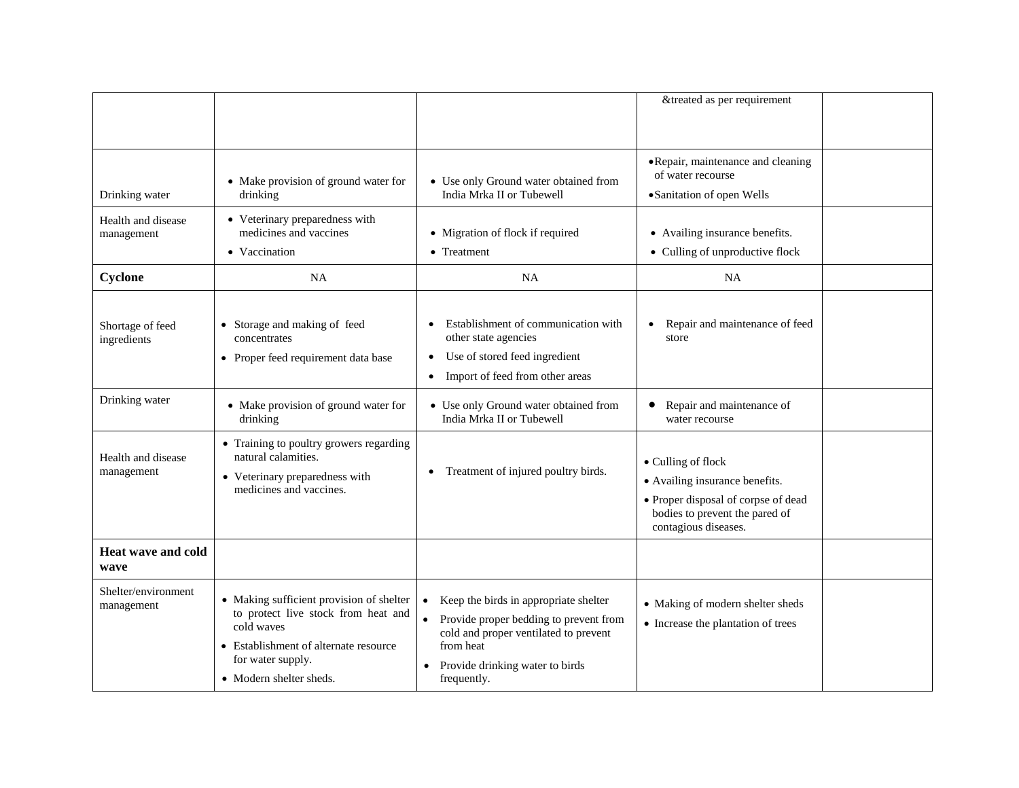|                                   |                                                                                                                                                                                        |                                                                                                                                                                                                        | &treated as per requirement                                                                                                                           |  |
|-----------------------------------|----------------------------------------------------------------------------------------------------------------------------------------------------------------------------------------|--------------------------------------------------------------------------------------------------------------------------------------------------------------------------------------------------------|-------------------------------------------------------------------------------------------------------------------------------------------------------|--|
| Drinking water                    | • Make provision of ground water for<br>drinking                                                                                                                                       | • Use only Ground water obtained from<br>India Mrka II or Tubewell                                                                                                                                     | • Repair, maintenance and cleaning<br>of water recourse<br>·Sanitation of open Wells                                                                  |  |
| Health and disease<br>management  | • Veterinary preparedness with<br>medicines and vaccines<br>• Vaccination                                                                                                              | • Migration of flock if required<br>• Treatment                                                                                                                                                        | • Availing insurance benefits.<br>• Culling of unproductive flock                                                                                     |  |
| Cyclone                           | <b>NA</b>                                                                                                                                                                              | NA                                                                                                                                                                                                     | <b>NA</b>                                                                                                                                             |  |
| Shortage of feed<br>ingredients   | • Storage and making of feed<br>concentrates<br>• Proper feed requirement data base                                                                                                    | Establishment of communication with<br>other state agencies<br>Use of stored feed ingredient<br>٠<br>Import of feed from other areas<br>$\bullet$                                                      | Repair and maintenance of feed<br>store                                                                                                               |  |
| Drinking water                    | • Make provision of ground water for<br>drinking                                                                                                                                       | • Use only Ground water obtained from<br>India Mrka II or Tubewell                                                                                                                                     | Repair and maintenance of<br>water recourse                                                                                                           |  |
| Health and disease<br>management  | • Training to poultry growers regarding<br>natural calamities.<br>• Veterinary preparedness with<br>medicines and vaccines.                                                            | Treatment of injured poultry birds.<br>$\bullet$                                                                                                                                                       | • Culling of flock<br>• Availing insurance benefits.<br>• Proper disposal of corpse of dead<br>bodies to prevent the pared of<br>contagious diseases. |  |
| Heat wave and cold<br>wave        |                                                                                                                                                                                        |                                                                                                                                                                                                        |                                                                                                                                                       |  |
| Shelter/environment<br>management | • Making sufficient provision of shelter<br>to protect live stock from heat and<br>cold waves<br>• Establishment of alternate resource<br>for water supply.<br>• Modern shelter sheds. | • Keep the birds in appropriate shelter<br>Provide proper bedding to prevent from<br>cold and proper ventilated to prevent<br>from heat<br>Provide drinking water to birds<br>$\bullet$<br>frequently. | • Making of modern shelter sheds<br>• Increase the plantation of trees                                                                                |  |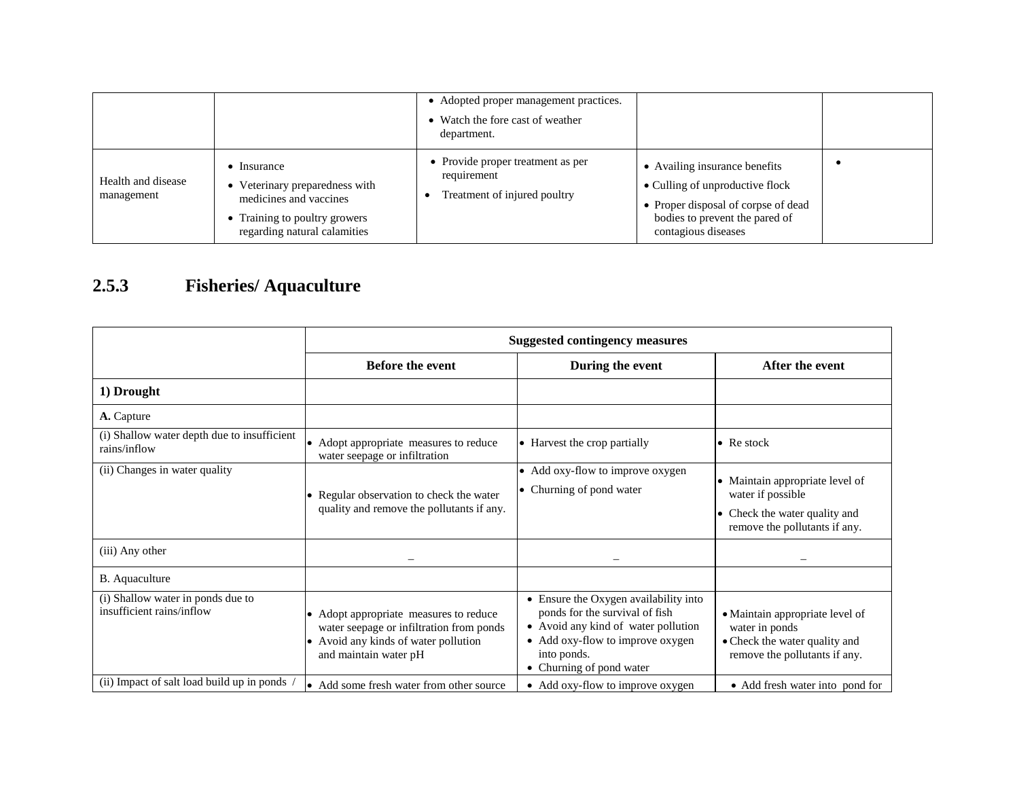|                                  |                                                                                                                                    | • Adopted proper management practices.<br>• Watch the fore cast of weather<br>department. |                                                                                                                                                                  |  |
|----------------------------------|------------------------------------------------------------------------------------------------------------------------------------|-------------------------------------------------------------------------------------------|------------------------------------------------------------------------------------------------------------------------------------------------------------------|--|
| Health and disease<br>management | Insurance<br>Veterinary preparedness with<br>medicines and vaccines<br>Training to poultry growers<br>regarding natural calamities | • Provide proper treatment as per<br>requirement<br>Treatment of injured poultry          | • Availing insurance benefits<br>• Culling of unproductive flock<br>• Proper disposal of corpse of dead<br>bodies to prevent the pared of<br>contagious diseases |  |

# **2.5.3 Fisheries/ Aquaculture**

|                                                                | <b>Suggested contingency measures</b>                                                                                                                                     |                                                                                                                                                                                               |                                                                                                                           |
|----------------------------------------------------------------|---------------------------------------------------------------------------------------------------------------------------------------------------------------------------|-----------------------------------------------------------------------------------------------------------------------------------------------------------------------------------------------|---------------------------------------------------------------------------------------------------------------------------|
|                                                                | <b>Before the event</b>                                                                                                                                                   | During the event                                                                                                                                                                              | After the event                                                                                                           |
| 1) Drought                                                     |                                                                                                                                                                           |                                                                                                                                                                                               |                                                                                                                           |
| A. Capture                                                     |                                                                                                                                                                           |                                                                                                                                                                                               |                                                                                                                           |
| (i) Shallow water depth due to insufficient<br>rains/inflow    | • Adopt appropriate measures to reduce<br>water seepage or infiltration                                                                                                   | • Harvest the crop partially                                                                                                                                                                  | $\bullet$ Re stock                                                                                                        |
| (ii) Changes in water quality                                  | • Regular observation to check the water<br>quality and remove the pollutants if any.                                                                                     | • Add oxy-flow to improve oxygen<br>• Churning of pond water                                                                                                                                  | • Maintain appropriate level of<br>water if possible<br>Check the water quality and<br>٠<br>remove the pollutants if any. |
| (iii) Any other                                                |                                                                                                                                                                           |                                                                                                                                                                                               |                                                                                                                           |
| B. Aquaculture                                                 |                                                                                                                                                                           |                                                                                                                                                                                               |                                                                                                                           |
| (i) Shallow water in ponds due to<br>insufficient rains/inflow | Adopt appropriate measures to reduce<br>$\bullet$<br>water seepage or infiltration from ponds<br>Avoid any kinds of water pollution<br>$\bullet$<br>and maintain water pH | • Ensure the Oxygen availability into<br>ponds for the survival of fish<br>• Avoid any kind of water pollution<br>• Add oxy-flow to improve oxygen<br>into ponds.<br>• Churning of pond water | • Maintain appropriate level of<br>water in ponds<br>• Check the water quality and<br>remove the pollutants if any.       |
| (ii) Impact of salt load build up in ponds                     | • Add some fresh water from other source                                                                                                                                  | • Add oxy-flow to improve oxygen                                                                                                                                                              | • Add fresh water into pond for                                                                                           |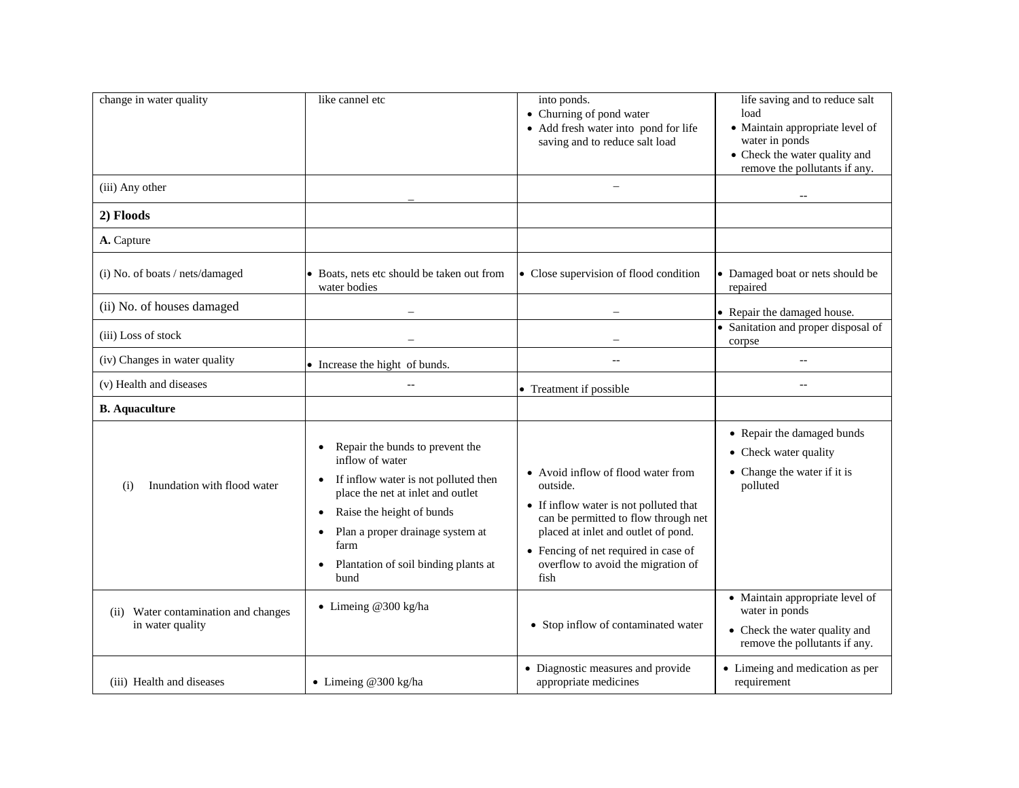| change in water quality                                     | like cannel etc                                                                                                                                                                                                                                                                                                           | into ponds.<br>• Churning of pond water<br>• Add fresh water into pond for life<br>saving and to reduce salt load                                                                                                                                             | life saving and to reduce salt<br>load<br>• Maintain appropriate level of<br>water in ponds<br>• Check the water quality and<br>remove the pollutants if any. |
|-------------------------------------------------------------|---------------------------------------------------------------------------------------------------------------------------------------------------------------------------------------------------------------------------------------------------------------------------------------------------------------------------|---------------------------------------------------------------------------------------------------------------------------------------------------------------------------------------------------------------------------------------------------------------|---------------------------------------------------------------------------------------------------------------------------------------------------------------|
| (iii) Any other                                             |                                                                                                                                                                                                                                                                                                                           |                                                                                                                                                                                                                                                               |                                                                                                                                                               |
| 2) Floods                                                   |                                                                                                                                                                                                                                                                                                                           |                                                                                                                                                                                                                                                               |                                                                                                                                                               |
| A. Capture                                                  |                                                                                                                                                                                                                                                                                                                           |                                                                                                                                                                                                                                                               |                                                                                                                                                               |
| (i) No. of boats / nets/damaged                             | • Boats, nets etc should be taken out from<br>water bodies                                                                                                                                                                                                                                                                | • Close supervision of flood condition                                                                                                                                                                                                                        | • Damaged boat or nets should be<br>repaired                                                                                                                  |
| (ii) No. of houses damaged                                  |                                                                                                                                                                                                                                                                                                                           |                                                                                                                                                                                                                                                               | • Repair the damaged house.                                                                                                                                   |
| (iii) Loss of stock                                         |                                                                                                                                                                                                                                                                                                                           |                                                                                                                                                                                                                                                               | Sanitation and proper disposal of<br>corpse                                                                                                                   |
| (iv) Changes in water quality                               | • Increase the hight of bunds.                                                                                                                                                                                                                                                                                            | $\equiv$                                                                                                                                                                                                                                                      | $\overline{a}$                                                                                                                                                |
| (v) Health and diseases                                     |                                                                                                                                                                                                                                                                                                                           | • Treatment if possible                                                                                                                                                                                                                                       | $-$                                                                                                                                                           |
| <b>B.</b> Aquaculture                                       |                                                                                                                                                                                                                                                                                                                           |                                                                                                                                                                                                                                                               |                                                                                                                                                               |
| Inundation with flood water<br>(i)                          | Repair the bunds to prevent the<br>$\bullet$<br>inflow of water<br>If inflow water is not polluted then<br>$\bullet$<br>place the net at inlet and outlet<br>Raise the height of bunds<br>$\bullet$<br>Plan a proper drainage system at<br>$\bullet$<br>farm<br>Plantation of soil binding plants at<br>$\bullet$<br>bund | • Avoid inflow of flood water from<br>outside.<br>• If inflow water is not polluted that<br>can be permitted to flow through net<br>placed at inlet and outlet of pond.<br>• Fencing of net required in case of<br>overflow to avoid the migration of<br>fish | • Repair the damaged bunds<br>• Check water quality<br>• Change the water if it is<br>polluted                                                                |
| Water contamination and changes<br>(ii)<br>in water quality | • Limeing @300 kg/ha                                                                                                                                                                                                                                                                                                      | • Stop inflow of contaminated water                                                                                                                                                                                                                           | • Maintain appropriate level of<br>water in ponds<br>• Check the water quality and<br>remove the pollutants if any.                                           |
| (iii) Health and diseases                                   | • Limeing @300 kg/ha                                                                                                                                                                                                                                                                                                      | • Diagnostic measures and provide<br>appropriate medicines                                                                                                                                                                                                    | • Limeing and medication as per<br>requirement                                                                                                                |